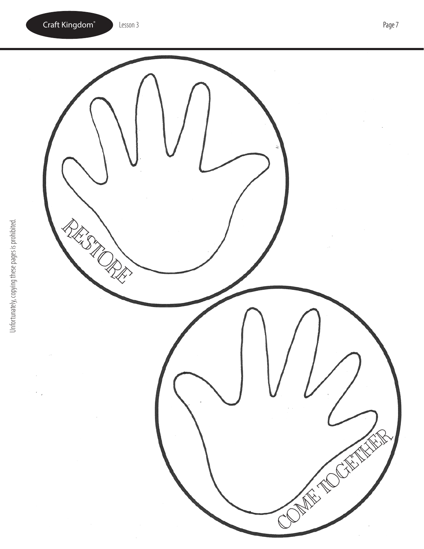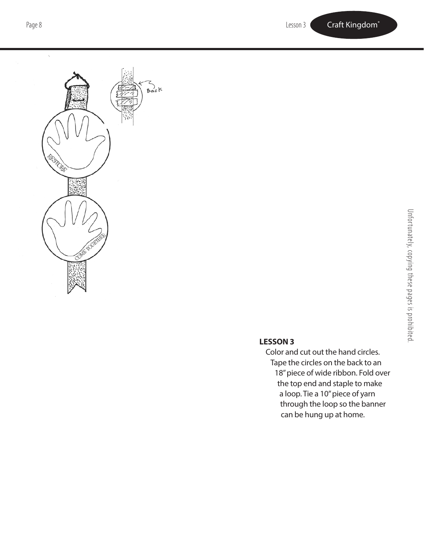

## **LESSON 3**

Color and cut out the hand circles. Tape the circles on the back to an 18" piece of wide ribbon. Fold over the top end and staple to make a loop. Tie a 10" piece of yarn through the loop so the banner can be hung up at home.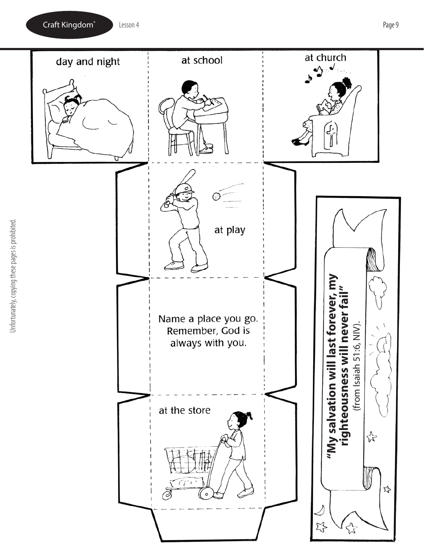